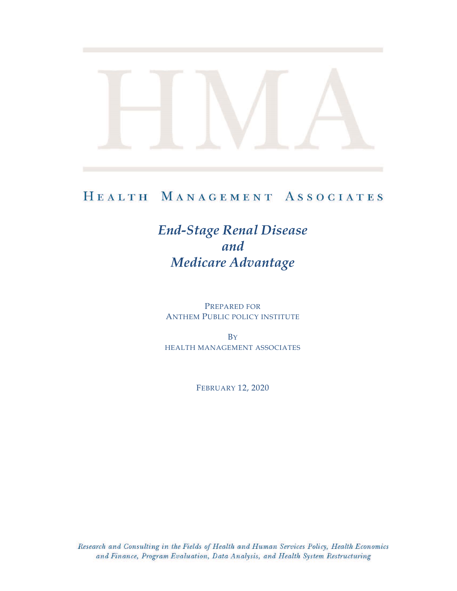# HEALTH MANAGEMENT ASSOCIATES

# *End-Stage Renal Disease and Medicare Advantage*

PREPARED FOR ANTHEM PUBLIC POLICY INSTITUTE

**B**Y HEALTH MANAGEMENT ASSOCIATES

FEBRUARY 12, 2020

Research and Consulting in the Fields of Health and Human Services Policy, Health Economics and Finance, Program Evaluation, Data Analysis, and Health System Restructuring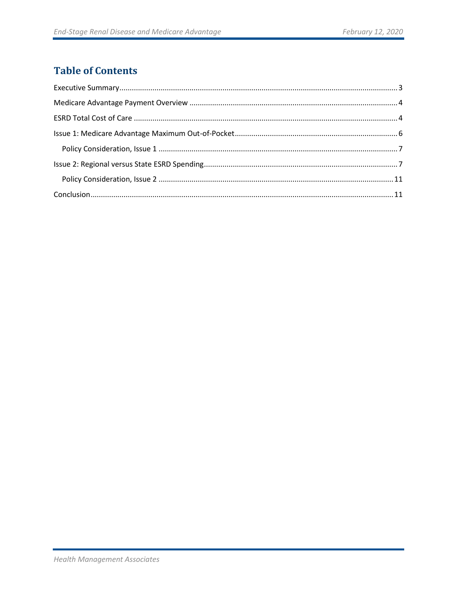# **Table of Contents**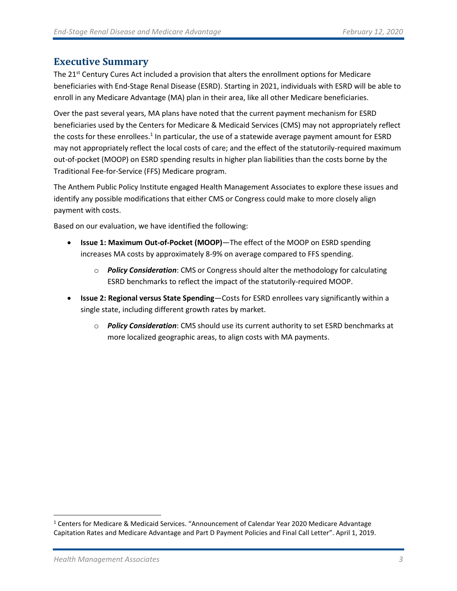# <span id="page-2-0"></span>**Executive Summary**

The 21<sup>st</sup> Century Cures Act included a provision that alters the enrollment options for Medicare beneficiaries with End-Stage Renal Disease (ESRD). Starting in 2021, individuals with ESRD will be able to enroll in any Medicare Advantage (MA) plan in their area, like all other Medicare beneficiaries.

Over the past several years, MA plans have noted that the current payment mechanism for ESRD beneficiaries used by the Centers for Medicare & Medicaid Services (CMS) may not appropriately reflect the costs for these enrollees.<sup>1</sup> In particular, the use of a statewide average payment amount for ESRD may not appropriately reflect the local costs of care; and the effect of the statutorily-required maximum out-of-pocket (MOOP) on ESRD spending results in higher plan liabilities than the costs borne by the Traditional Fee-for-Service (FFS) Medicare program.

The Anthem Public Policy Institute engaged Health Management Associates to explore these issues and identify any possible modifications that either CMS or Congress could make to more closely align payment with costs.

Based on our evaluation, we have identified the following:

- **Issue 1: Maximum Out-of-Pocket (MOOP)**—The effect of the MOOP on ESRD spending increases MA costs by approximately 8-9% on average compared to FFS spending.
	- o *Policy Consideration*: CMS or Congress should alter the methodology for calculating ESRD benchmarks to reflect the impact of the statutorily-required MOOP.
- **Issue 2: Regional versus State Spending**—Costs for ESRD enrollees vary significantly within a single state, including different growth rates by market.
	- o *Policy Consideration*: CMS should use its current authority to set ESRD benchmarks at more localized geographic areas, to align costs with MA payments.

<sup>&</sup>lt;sup>1</sup> Centers for Medicare & Medicaid Services. "Announcement of Calendar Year 2020 Medicare Advantage Capitation Rates and Medicare Advantage and Part D Payment Policies and Final Call Letter". April 1, 2019.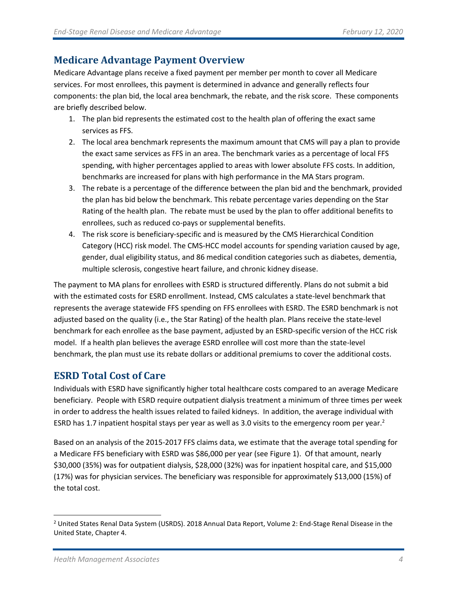# <span id="page-3-0"></span>**Medicare Advantage Payment Overview**

Medicare Advantage plans receive a fixed payment per member per month to cover all Medicare services. For most enrollees, this payment is determined in advance and generally reflects four components: the plan bid, the local area benchmark, the rebate, and the risk score. These components are briefly described below.

- 1. The plan bid represents the estimated cost to the health plan of offering the exact same services as FFS.
- 2. The local area benchmark represents the maximum amount that CMS will pay a plan to provide the exact same services as FFS in an area. The benchmark varies as a percentage of local FFS spending, with higher percentages applied to areas with lower absolute FFS costs. In addition, benchmarks are increased for plans with high performance in the MA Stars program.
- 3. The rebate is a percentage of the difference between the plan bid and the benchmark, provided the plan has bid below the benchmark. This rebate percentage varies depending on the Star Rating of the health plan. The rebate must be used by the plan to offer additional benefits to enrollees, such as reduced co-pays or supplemental benefits.
- 4. The risk score is beneficiary-specific and is measured by the CMS Hierarchical Condition Category (HCC) risk model. The CMS-HCC model accounts for spending variation caused by age, gender, dual eligibility status, and 86 medical condition categories such as diabetes, dementia, multiple sclerosis, congestive heart failure, and chronic kidney disease.

The payment to MA plans for enrollees with ESRD is structured differently. Plans do not submit a bid with the estimated costs for ESRD enrollment. Instead, CMS calculates a state-level benchmark that represents the average statewide FFS spending on FFS enrollees with ESRD. The ESRD benchmark is not adjusted based on the quality (i.e., the Star Rating) of the health plan. Plans receive the state-level benchmark for each enrollee as the base payment, adjusted by an ESRD-specific version of the HCC risk model. If a health plan believes the average ESRD enrollee will cost more than the state-level benchmark, the plan must use its rebate dollars or additional premiums to cover the additional costs.

# <span id="page-3-1"></span>**ESRD Total Cost of Care**

Individuals with ESRD have significantly higher total healthcare costs compared to an average Medicare beneficiary. People with ESRD require outpatient dialysis treatment a minimum of three times per week in order to address the health issues related to failed kidneys. In addition, the average individual with ESRD has 1.7 inpatient hospital stays per year as well as 3.0 visits to the emergency room per year.<sup>2</sup>

Based on an analysis of the 2015-2017 FFS claims data, we estimate that the average total spending for a Medicare FFS beneficiary with ESRD was \$86,000 per year (see Figure 1). Of that amount, nearly \$30,000 (35%) was for outpatient dialysis, \$28,000 (32%) was for inpatient hospital care, and \$15,000 (17%) was for physician services. The beneficiary was responsible for approximately \$13,000 (15%) of the total cost.

<sup>&</sup>lt;sup>2</sup> United States Renal Data System (USRDS). 2018 Annual Data Report, Volume 2: End-Stage Renal Disease in the United State, Chapter 4.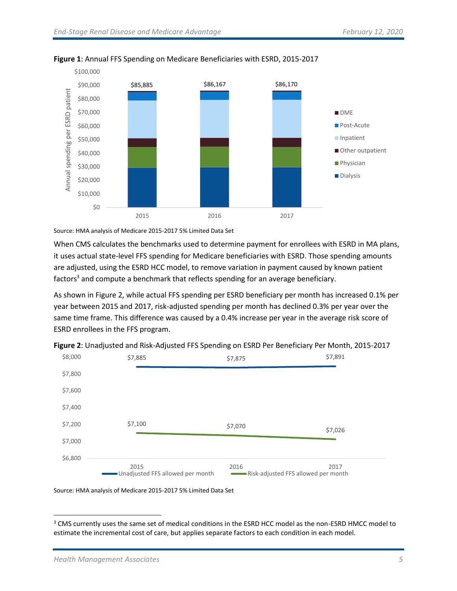

#### **Figure 1**: Annual FFS Spending on Medicare Beneficiaries with ESRD, 2015-2017

Source: HMA analysis of Medicare 2015-2017 5% Limited Data Set

When CMS calculates the benchmarks used to determine payment for enrollees with ESRD in MA plans, it uses actual state-level FFS spending for Medicare beneficiaries with ESRD. Those spending amounts are adjusted, using the ESRD HCC model, to remove variation in payment caused by known patient factors<sup>3</sup> and compute a benchmark that reflects spending for an average beneficiary.

As shown in Figure 2, while actual FFS spending per ESRD beneficiary per month has increased 0.1% per year between 2015 and 2017, risk-adjusted spending per month has declined 0.3% per year over the same time frame. This difference was caused by a 0.4% increase per year in the average risk score of ESRD enrollees in the FFS program.



**Figure 2**: Unadjusted and Risk-Adjusted FFS Spending on ESRD Per Beneficiary Per Month, 2015-2017

Source: HMA analysis of Medicare 2015-2017 5% Limited Data Set

<sup>&</sup>lt;sup>3</sup> CMS currently uses the same set of medical conditions in the ESRD HCC model as the non-ESRD HMCC model to estimate the incremental cost of care, but applies separate factors to each condition in each model.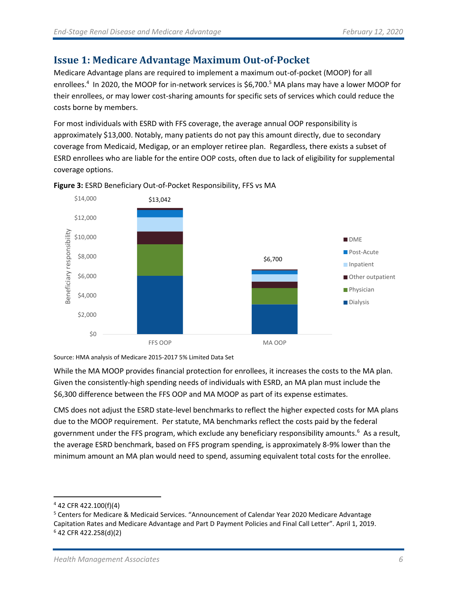# <span id="page-5-0"></span>**Issue 1: Medicare Advantage Maximum Out-of-Pocket**

Medicare Advantage plans are required to implement a maximum out-of-pocket (MOOP) for all enrollees.<sup>4</sup> In 2020, the MOOP for in-network services is \$6,700.<sup>5</sup> MA plans may have a lower MOOP for their enrollees, or may lower cost-sharing amounts for specific sets of services which could reduce the costs borne by members.

For most individuals with ESRD with FFS coverage, the average annual OOP responsibility is approximately \$13,000. Notably, many patients do not pay this amount directly, due to secondary coverage from Medicaid, Medigap, or an employer retiree plan. Regardless, there exists a subset of ESRD enrollees who are liable for the entire OOP costs, often due to lack of eligibility for supplemental coverage options.



**Figure 3:** ESRD Beneficiary Out-of-Pocket Responsibility, FFS vs MA

Source: HMA analysis of Medicare 2015-2017 5% Limited Data Set

While the MA MOOP provides financial protection for enrollees, it increases the costs to the MA plan. Given the consistently-high spending needs of individuals with ESRD, an MA plan must include the \$6,300 difference between the FFS OOP and MA MOOP as part of its expense estimates.

CMS does not adjust the ESRD state-level benchmarks to reflect the higher expected costs for MA plans due to the MOOP requirement. Per statute, MA benchmarks reflect the costs paid by the federal government under the FFS program, which exclude any beneficiary responsibility amounts.<sup>6</sup> As a result, the average ESRD benchmark, based on FFS program spending, is approximately 8-9% lower than the minimum amount an MA plan would need to spend, assuming equivalent total costs for the enrollee.

<sup>4</sup> 42 CFR 422.100(f)(4)

<sup>5</sup> Centers for Medicare & Medicaid Services. "Announcement of Calendar Year 2020 Medicare Advantage Capitation Rates and Medicare Advantage and Part D Payment Policies and Final Call Letter". April 1, 2019. <sup>6</sup> 42 CFR 422.258(d)(2)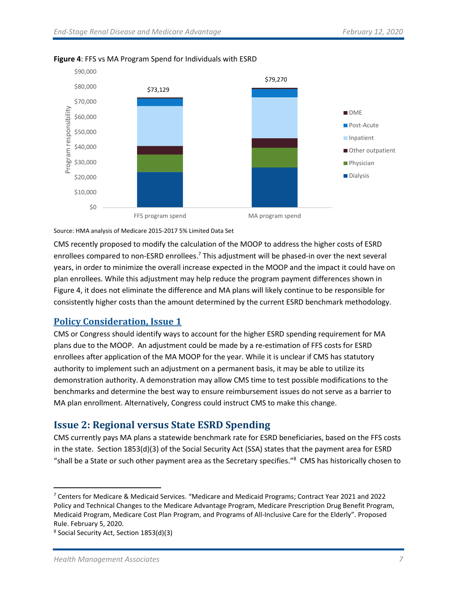

#### **Figure 4**: FFS vs MA Program Spend for Individuals with ESRD

Source: HMA analysis of Medicare 2015-2017 5% Limited Data Set

CMS recently proposed to modify the calculation of the MOOP to address the higher costs of ESRD enrollees compared to non-ESRD enrollees.<sup>7</sup> This adjustment will be phased-in over the next several years, in order to minimize the overall increase expected in the MOOP and the impact it could have on plan enrollees. While this adjustment may help reduce the program payment differences shown in Figure 4, it does not eliminate the difference and MA plans will likely continue to be responsible for consistently higher costs than the amount determined by the current ESRD benchmark methodology.

### <span id="page-6-0"></span>**Policy Consideration, Issue 1**

CMS or Congress should identify ways to account for the higher ESRD spending requirement for MA plans due to the MOOP. An adjustment could be made by a re-estimation of FFS costs for ESRD enrollees after application of the MA MOOP for the year. While it is unclear if CMS has statutory authority to implement such an adjustment on a permanent basis, it may be able to utilize its demonstration authority. A demonstration may allow CMS time to test possible modifications to the benchmarks and determine the best way to ensure reimbursement issues do not serve as a barrier to MA plan enrollment. Alternatively, Congress could instruct CMS to make this change.

# <span id="page-6-1"></span>**Issue 2: Regional versus State ESRD Spending**

CMS currently pays MA plans a statewide benchmark rate for ESRD beneficiaries, based on the FFS costs in the state. Section 1853(d)(3) of the Social Security Act (SSA) states that the payment area for ESRD "shall be a State or such other payment area as the Secretary specifies." 8 CMS has historically chosen to

<sup>7</sup> Centers for Medicare & Medicaid Services. "Medicare and Medicaid Programs; Contract Year 2021 and 2022 Policy and Technical Changes to the Medicare Advantage Program, Medicare Prescription Drug Benefit Program, Medicaid Program, Medicare Cost Plan Program, and Programs of All-Inclusive Care for the Elderly". Proposed Rule. February 5, 2020.

<sup>8</sup> Social Security Act, Section 1853(d)(3)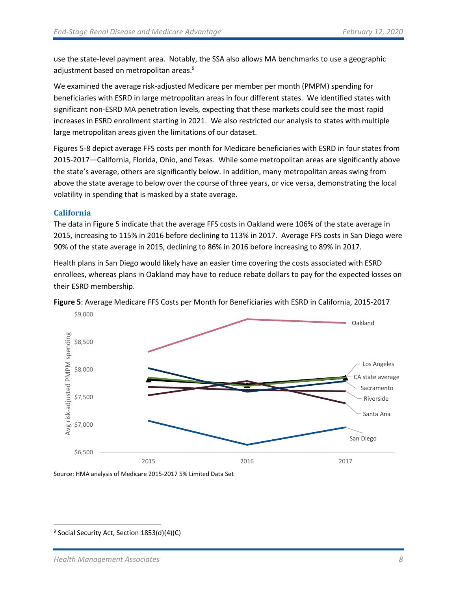use the state-level payment area. Notably, the SSA also allows MA benchmarks to use a geographic adjustment based on metropolitan areas. 9

We examined the average risk-adjusted Medicare per member per month (PMPM) spending for beneficiaries with ESRD in large metropolitan areas in four different states. We identified states with significant non-ESRD MA penetration levels, expecting that these markets could see the most rapid increases in ESRD enrollment starting in 2021. We also restricted our analysis to states with multiple large metropolitan areas given the limitations of our dataset.

Figures 5-8 depict average FFS costs per month for Medicare beneficiaries with ESRD in four states from 2015-2017—California, Florida, Ohio, and Texas. While some metropolitan areas are significantly above the state's average, others are significantly below. In addition, many metropolitan areas swing from above the state average to below over the course of three years, or vice versa, demonstrating the local volatility in spending that is masked by a state average.

#### **California**

The data in Figure 5 indicate that the average FFS costs in Oakland were 106% of the state average in 2015, increasing to 115% in 2016 before declining to 113% in 2017. Average FFS costs in San Diego were 90% of the state average in 2015, declining to 86% in 2016 before increasing to 89% in 2017.

Health plans in San Diego would likely have an easier time covering the costs associated with ESRD enrollees, whereas plans in Oakland may have to reduce rebate dollars to pay for the expected losses on their ESRD membership.



**Figure 5**: Average Medicare FFS Costs per Month for Beneficiaries with ESRD in California, 2015-2017

Source: HMA analysis of Medicare 2015-2017 5% Limited Data Set

<sup>&</sup>lt;sup>9</sup> Social Security Act, Section 1853(d)(4)(C)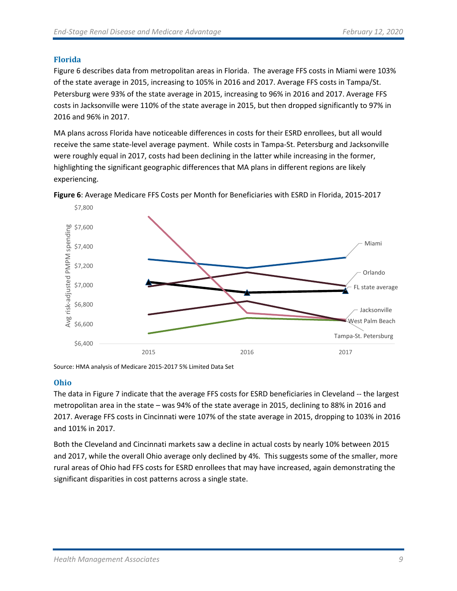#### **Florida**

Figure 6 describes data from metropolitan areas in Florida. The average FFS costs in Miami were 103% of the state average in 2015, increasing to 105% in 2016 and 2017. Average FFS costs in Tampa/St. Petersburg were 93% of the state average in 2015, increasing to 96% in 2016 and 2017. Average FFS costs in Jacksonville were 110% of the state average in 2015, but then dropped significantly to 97% in 2016 and 96% in 2017.

MA plans across Florida have noticeable differences in costs for their ESRD enrollees, but all would receive the same state-level average payment.While costs in Tampa-St. Petersburg and Jacksonville were roughly equal in 2017, costs had been declining in the latter while increasing in the former, highlighting the significant geographic differences that MA plans in different regions are likely experiencing.



**Figure 6**: Average Medicare FFS Costs per Month for Beneficiaries with ESRD in Florida, 2015-2017

#### **Ohio**

The data in Figure 7 indicate that the average FFS costs for ESRD beneficiaries in Cleveland -- the largest metropolitan area in the state – was 94% of the state average in 2015, declining to 88% in 2016 and 2017. Average FFS costs in Cincinnati were 107% of the state average in 2015, dropping to 103% in 2016 and 101% in 2017.

Both the Cleveland and Cincinnati markets saw a decline in actual costs by nearly 10% between 2015 and 2017, while the overall Ohio average only declined by 4%. This suggests some of the smaller, more rural areas of Ohio had FFS costs for ESRD enrollees that may have increased, again demonstrating the significant disparities in cost patterns across a single state.

Source: HMA analysis of Medicare 2015-2017 5% Limited Data Set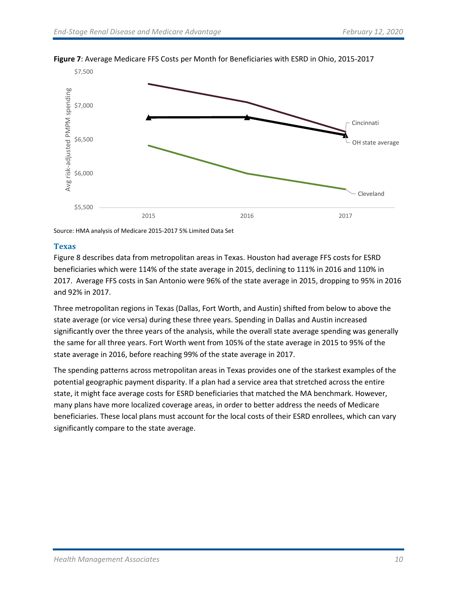

#### **Figure 7**: Average Medicare FFS Costs per Month for Beneficiaries with ESRD in Ohio, 2015-2017

Source: HMA analysis of Medicare 2015-2017 5% Limited Data Set

#### **Texas**

Figure 8 describes data from metropolitan areas in Texas. Houston had average FFS costs for ESRD beneficiaries which were 114% of the state average in 2015, declining to 111% in 2016 and 110% in 2017. Average FFS costs in San Antonio were 96% of the state average in 2015, dropping to 95% in 2016 and 92% in 2017.

Three metropolitan regions in Texas (Dallas, Fort Worth, and Austin) shifted from below to above the state average (or vice versa) during these three years. Spending in Dallas and Austin increased significantly over the three years of the analysis, while the overall state average spending was generally the same for all three years. Fort Worth went from 105% of the state average in 2015 to 95% of the state average in 2016, before reaching 99% of the state average in 2017.

The spending patterns across metropolitan areas in Texas provides one of the starkest examples of the potential geographic payment disparity. If a plan had a service area that stretched across the entire state, it might face average costs for ESRD beneficiaries that matched the MA benchmark. However, many plans have more localized coverage areas, in order to better address the needs of Medicare beneficiaries. These local plans must account for the local costs of their ESRD enrollees, which can vary significantly compare to the state average.